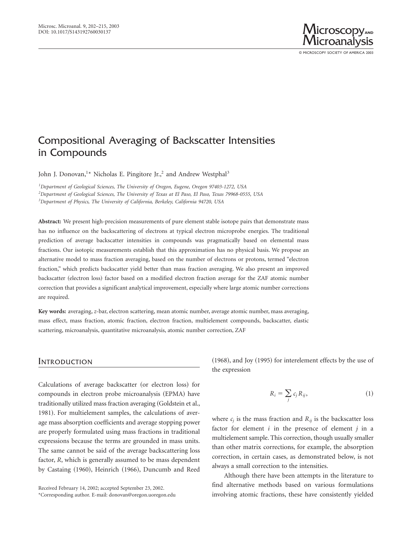

# Compositional Averaging of Backscatter Intensities in Compounds

John J. Donovan,<sup>1\*</sup> Nicholas E. Pingitore Jr.,<sup>2</sup> and Andrew Westphal<sup>3</sup>

*1 Department of Geological Sciences, The University of Oregon, Eugene, Oregon 97403-1272, USA 2 Department of Geological Sciences, The University of Texas at El Paso, El Paso, Texas 79968-0555, USA 3 Department of Physics, The University of California, Berkeley, California 94720, USA*

**Abstract:** We present high-precision measurements of pure element stable isotope pairs that demonstrate mass has no influence on the backscattering of electrons at typical electron microprobe energies. The traditional prediction of average backscatter intensities in compounds was pragmatically based on elemental mass fractions. Our isotopic measurements establish that this approximation has no physical basis. We propose an alternative model to mass fraction averaging, based on the number of electrons or protons, termed "electron fraction," which predicts backscatter yield better than mass fraction averaging. We also present an improved backscatter (electron loss) factor based on a modified electron fraction average for the ZAF atomic number correction that provides a significant analytical improvement, especially where large atomic number corrections are required.

**Key words:** averaging, *z*-bar, electron scattering, mean atomic number, average atomic number, mass averaging, mass effect, mass fraction, atomic fraction, electron fraction, multielement compounds, backscatter, elastic scattering, microanalysis, quantitative microanalysis, atomic number correction, ZAF

### INTRODUCTION

Calculations of average backscatter (or electron loss) for compounds in electron probe microanalysis (EPMA) have traditionally utilized mass fraction averaging (Goldstein et al., 1981). For multielement samples, the calculations of average mass absorption coefficients and average stopping power are properly formulated using mass fractions in traditional expressions because the terms are grounded in mass units. The same cannot be said of the average backscattering loss factor, *R*, which is generally assumed to be mass dependent by Castaing (1960), Heinrich (1966), Duncumb and Reed  $(1968)$ , and Joy  $(1995)$  for interelement effects by the use of the expression

$$
R_i = \sum_j c_j R_{ij},\tag{1}
$$

where  $c_j$  is the mass fraction and  $R_{ij}$  is the backscatter loss factor for element *i* in the presence of element *j* in a multielement sample. This correction, though usually smaller than other matrix corrections, for example, the absorption correction, in certain cases, as demonstrated below, is not always a small correction to the intensities.

Although there have been attempts in the literature to find alternative methods based on various formulations involving atomic fractions, these have consistently yielded

Received February 14, 2002; accepted September 23, 2002. \*Corresponding author. E-mail: donovan@oregon.uoregon.edu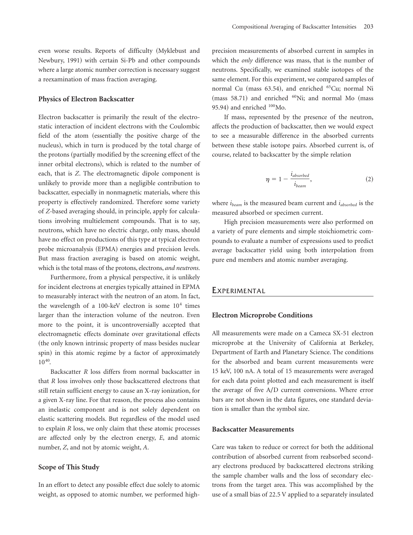even worse results. Reports of difficulty (Myklebust and Newbury, 1991) with certain Si-Pb and other compounds where a large atomic number correction is necessary suggest a reexamination of mass fraction averaging.

#### **Physics of Electron Backscatter**

Electron backscatter is primarily the result of the electrostatic interaction of incident electrons with the Coulombic field of the atom (essentially the positive charge of the nucleus), which in turn is produced by the total charge of the protons (partially modified by the screening effect of the inner orbital electrons), which is related to the number of each, that is *Z*. The electromagnetic dipole component is unlikely to provide more than a negligible contribution to backscatter, especially in nonmagnetic materials, where this property is effectively randomized. Therefore some variety of *Z*-based averaging should, in principle, apply for calculations involving multielement compounds. That is to say, neutrons, which have no electric charge, only mass, should have no effect on productions of this type at typical electron probe microanalysis (EPMA) energies and precision levels. But mass fraction averaging is based on atomic weight, which is the total mass of the protons, electrons, *and neutrons*.

Furthermore, from a physical perspective, it is unlikely for incident electrons at energies typically attained in EPMA to measurably interact with the neutron of an atom. In fact, the wavelength of a 100-keV electron is some  $10<sup>4</sup>$  times larger than the interaction volume of the neutron. Even more to the point, it is uncontroversially accepted that electromagnetic effects dominate over gravitational effects (the only known intrinsic property of mass besides nuclear spin) in this atomic regime by a factor of approximately 1040.

Backscatter *R* loss differs from normal backscatter in that *R* loss involves only those backscattered electrons that still retain sufficient energy to cause an X-ray ionization, for a given X-ray line. For that reason, the process also contains an inelastic component and is not solely dependent on elastic scattering models. But regardless of the model used to explain *R* loss, we only claim that these atomic processes are affected only by the electron energy, *E*, and atomic number, *Z*, and not by atomic weight, *A*.

### **Scope of This Study**

In an effort to detect any possible effect due solely to atomic weight, as opposed to atomic number, we performed highprecision measurements of absorbed current in samples in which the *only* difference was mass, that is the number of neutrons. Specifically, we examined stable isotopes of the same element. For this experiment, we compared samples of normal Cu (mass 63.54), and enriched <sup>65</sup>Cu; normal Ni (mass 58.71) and enriched  ${}^{60}\text{Ni}$ ; and normal Mo (mass 95.94) and enriched  $100$ Mo.

If mass, represented by the presence of the neutron, affects the production of backscatter, then we would expect to see a measurable difference in the absorbed currents between these stable isotope pairs. Absorbed current is, of course, related to backscatter by the simple relation

$$
\eta = 1 - \frac{i_{absorbed}}{i_{beam}},\tag{2}
$$

where *ibeam* is the measured beam current and *iabsorbed* is the measured absorbed or specimen current.

High precision measurements were also performed on a variety of pure elements and simple stoichiometric compounds to evaluate a number of expressions used to predict average backscatter yield using both interpolation from pure end members and atomic number averaging.

### **EXPERIMENTAL**

### **Electron Microprobe Conditions**

All measurements were made on a Cameca SX-51 electron microprobe at the University of California at Berkeley, Department of Earth and Planetary Science. The conditions for the absorbed and beam current measurements were 15 keV, 100 nA. A total of 15 measurements were averaged for each data point plotted and each measurement is itself the average of five A/D current conversions. Where error bars are not shown in the data figures, one standard deviation is smaller than the symbol size.

#### **Backscatter Measurements**

Care was taken to reduce or correct for both the additional contribution of absorbed current from reabsorbed secondary electrons produced by backscattered electrons striking the sample chamber walls and the loss of secondary electrons from the target area. This was accomplished by the use of a small bias of 22.5 V applied to a separately insulated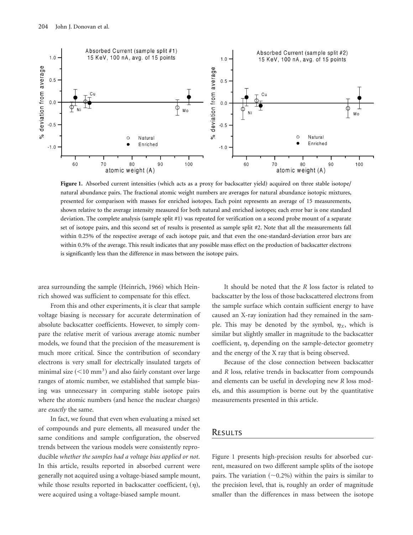

Figure 1. Absorbed current intensities (which acts as a proxy for backscatter yield) acquired on three stable isotope/ natural abundance pairs. The fractional atomic weight numbers are averages for natural abundance isotopic mixtures, presented for comparison with masses for enriched isotopes. Each point represents an average of 15 measurements, shown relative to the average intensity measured for both natural and enriched isotopes; each error bar is one standard deviation. The complete analysis (sample split #1) was repeated for verification on a second probe mount of a separate set of isotope pairs, and this second set of results is presented as sample split #2. Note that all the measurements fall within 0.25% of the respective average of each isotope pair, and that even the one-standard-deviation error bars are within 0.5% of the average. This result indicates that any possible mass effect on the production of backscatter electrons is significantly less than the difference in mass between the isotope pairs.

area surrounding the sample (Heinrich, 1966) which Heinrich showed was sufficient to compensate for this effect.

From this and other experiments, it is clear that sample voltage biasing is necessary for accurate determination of absolute backscatter coefficients. However, to simply compare the relative merit of various average atomic number models, we found that the precision of the measurement is much more critical. Since the contribution of secondary electrons is very small for electrically insulated targets of minimal size  $(<10$  mm<sup>3</sup>) and also fairly constant over large ranges of atomic number, we established that sample biasing was unnecessary in comparing stable isotope pairs where the atomic numbers (and hence the nuclear charges) are *exactly* the same.

In fact, we found that even when evaluating a mixed set of compounds and pure elements, all measured under the same conditions and sample configuration, the observed trends between the various models were consistently reproducible *whether the samples had a voltage bias applied or not*. In this article, results reported in absorbed current were generally not acquired using a voltage-biased sample mount, while those results reported in backscatter coefficient,  $(\eta)$ , were acquired using a voltage-biased sample mount.

It should be noted that the *R* loss factor is related to backscatter by the loss of those backscattered electrons from the sample surface which contain sufficient energy to have caused an X-ray ionization had they remained in the sample. This may be denoted by the symbol,  $\eta_X$ , which is similar but slightly smaller in magnitude to the backscatter coefficient,  $\eta$ , depending on the sample-detector geometry and the energy of the X ray that is being observed.

Because of the close connection between backscatter and *R* loss, relative trends in backscatter from compounds and elements can be useful in developing new *R* loss models, and this assumption is borne out by the quantitative measurements presented in this article.

# **RESULTS**

Figure 1 presents high-precision results for absorbed current, measured on two different sample splits of the isotope pairs. The variation  $(\sim 0.2\%)$  within the pairs is similar to the precision level, that is, roughly an order of magnitude smaller than the differences in mass between the isotope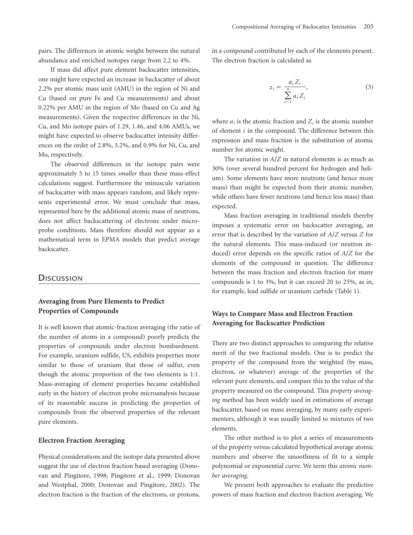pairs. The differences in atomic weight between the natural abundance and enriched isotopes range from 2.2 to 4%.

If mass did affect pure element backscatter intensities, one might have expected an increase in backscatter of about  $2.2%$  per atomic mass unit (AMU) in the region of Ni and Cu (based on pure Fe and Cu measurements) and about 0.22% per AMU in the region of Mo (based on Cu and Ag measurements). Given the respective differences in the Ni, Cu, and Mo isotope pairs of 1.29, 1.46, and 4.06 AMUs, we might have expected to observe backscatter intensity differences on the order of 2.8%, 3.2%, and 0.9% for Ni, Cu, and Mo, respectively.

The observed differences in the isotope pairs were approximately 5 to 15 times *smaller* than these mass-effect calculations suggest. Furthermore the minuscule variation of backscatter with mass appears random, and likely represents experimental error. We must conclude that mass, represented here by the additional atomic mass of neutrons, does not affect backscattering of electrons under microprobe conditions. Mass therefore should not appear as a mathematical term in EPMA models that predict average backscatter.

### **DISCUSSION**

# **Averaging from Pure Elements to Predict Properties of Compounds**

It is well known that atomic-fraction averaging (the ratio of the number of atoms in a compound) poorly predicts the properties of compounds under electron bombardment. For example, uranium sulfide, US, exhibits properties more similar to those of uranium that those of sulfur, even though the atomic proportion of the two elements is 1:1. Mass-averaging of element properties became established early in the history of electron probe microanalysis because of its reasonable success in predicting the properties of compounds from the observed properties of the relevant pure elements.

### **Electron Fraction Averaging**

Physical considerations and the isotope data presented above suggest the use of electron fraction based averaging (Donovan and Pingitore, 1998; Pingitore et al., 1999; Donovan and Westphal, 2000; Donovan and Pingitore, 2002). The electron fraction is the fraction of the electrons, or protons, in a compound contributed by each of the elements present. The electron fraction is calculated as

$$
z_i = \frac{a_i Z_i}{\sum_{i=1}^n a_i Z_i},
$$
\n(3)

where  $a_i$  is the atomic fraction and  $Z_i$  is the atomic number of element *i* in the compound. The difference between this expression and mass fraction is the substitution of atomic number for atomic weight.

The variation in *A*/*Z* in natural elements is as much as 30% (over several hundred percent for hydrogen and helium). Some elements have more neutrons (and hence more mass) than might be expected from their atomic number, while others have fewer neutrons (and hence less mass) than expected.

Mass fraction averaging in traditional models thereby imposes a systematic error on backscatter averaging, an error that is described by the variation of *A*/*Z* versus *Z* for the natural elements. This mass-induced (or neutron induced) error depends on the specific ratios of  $A/Z$  for the elements of the compound in question. The difference between the mass fraction and electron fraction for many compounds is 1 to 3%, but it can exceed 20 to 25%, as in, for example, lead sulfide or uranium carbide (Table 1).

# **Ways to Compare Mass and Electron Fraction Averaging for Backscatter Prediction**

There are two distinct approaches to comparing the relative merit of the two fractional models. One is to predict the property of the compound from the weighted (by mass, electron, or whatever) average of the properties of the relevant pure elements, and compare this to the value of the property measured on the compound. This *property averaging* method has been widely used in estimations of average backscatter, based on mass averaging, by many early experimenters, although it was usually limited to mixtures of two elements.

The other method is to plot a series of measurements of the property versus calculated hypothetical average atomic numbers and observe the smoothness of fit to a simple polynomial or exponential curve. We term this *atomic number averaging*.

We present both approaches to evaluate the predictive powers of mass fraction and electron fraction averaging. We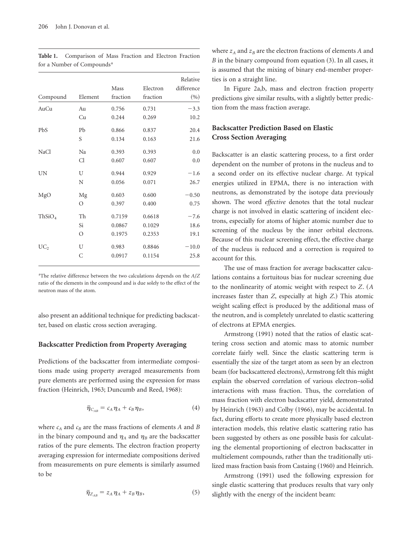|                    |         |          |          | Relative   |
|--------------------|---------|----------|----------|------------|
|                    |         | Mass     | Electron | difference |
| Compound           | Element | fraction | fraction | (%)        |
| AuCu               | Au      | 0.756    | 0.731    | $-3.3$     |
|                    | Cu      | 0.244    | 0.269    | 10.2       |
| <b>PbS</b>         | Pb      | 0.866    | 0.837    | 20.4       |
|                    | S       | 0.134    | 0.163    | 21.6       |
| <b>NaCl</b>        | Na      | 0.393    | 0.393    | 0.0        |
|                    | Cl      | 0.607    | 0.607    | 0.0        |
| UN                 | U       | 0.944    | 0.929    | $-1.6$     |
|                    | N       | 0.056    | 0.071    | 26.7       |
| MgO                | Mg      | 0.603    | 0.600    | $-0.50$    |
|                    | $\circ$ | 0.397    | 0.400    | 0.75       |
| ThSiO <sub>4</sub> | Th      | 0.7159   | 0.6618   | $-7.6$     |
|                    | Si      | 0.0867   | 0.1029   | 18.6       |
|                    | O       | 0.1975   | 0.2353   | 19.1       |
| UC <sub>2</sub>    | U       | 0.983    | 0.8846   | $-10.0$    |
|                    | C       | 0.0917   | 0.1154   | 25.8       |
|                    |         |          |          |            |

**Table 1.** Comparison of Mass Fraction and Electron Fraction for a Number of Compounds<sup>a</sup>

a The relative difference between the two calculations depends on the *A*/*Z* ratio of the elements in the compound and is due solely to the effect of the neutron mass of the atom.

also present an additional technique for predicting backscatter, based on elastic cross section averaging.

### **Backscatter Prediction from Property Averaging**

Predictions of the backscatter from intermediate compositions made using property averaged measurements from pure elements are performed using the expression for mass fraction (Heinrich, 1963; Duncumb and Reed, 1968):

$$
\bar{\eta}_{C_{AB}} = c_A \eta_A + c_B \eta_B, \qquad (4)
$$

where  $c_A$  and  $c_B$  are the mass fractions of elements *A* and *B* in the binary compound and  $\eta_A$  and  $\eta_B$  are the backscatter ratios of the pure elements. The electron fraction property averaging expression for intermediate compositions derived from measurements on pure elements is similarly assumed to be

$$
\bar{\eta}_{Z_{AB}} = z_A \eta_A + z_B \eta_B, \qquad (5)
$$

where  $z_A$  and  $z_B$  are the electron fractions of elements  $A$  and  $B$  in the binary compound from equation  $(3)$ . In all cases, it is assumed that the mixing of binary end-member properties is on a straight line.

In Figure 2a,b, mass and electron fraction property predictions give similar results, with a slightly better prediction from the mass fraction average.

# **Backscatter Prediction Based on Elastic Cross Section Averaging**

Backscatter is an elastic scattering process, to a first order dependent on the number of protons in the nucleus and to a second order on its effective nuclear charge. At typical energies utilized in EPMA, there is no interaction with neutrons, as demonstrated by the isotope data previously shown. The word *effective* denotes that the total nuclear charge is not involved in elastic scattering of incident electrons, especially for atoms of higher atomic number due to screening of the nucleus by the inner orbital electrons. Because of this nuclear screening effect, the effective charge of the nucleus is reduced and a correction is required to account for this.

The use of mass fraction for average backscatter calculations contains a fortuitous bias for nuclear screening due to the nonlinearity of atomic weight with respect to  $Z$ .  $(A)$ increases faster than *Z*, especially at high *Z*.) This atomic weight scaling effect is produced by the additional mass of the neutron, and is completely unrelated to elastic scattering of electrons at EPMA energies.

Armstrong (1991) noted that the ratios of elastic scattering cross section and atomic mass to atomic number correlate fairly well. Since the elastic scattering term is essentially the size of the target atom as seen by an electron beam (for backscattered electrons), Armstrong felt this might explain the observed correlation of various electron–solid interactions with mass fraction. Thus, the correlation of mass fraction with electron backscatter yield, demonstrated by Heinrich (1963) and Colby (1966), may be accidental. In fact, during efforts to create more physically based electron interaction models, this relative elastic scattering ratio has been suggested by others as one possible basis for calculating the elemental proportioning of electron backscatter in multielement compounds, rather than the traditionally utilized mass fraction basis from Castaing (1960) and Heinrich.

Armstrong (1991) used the following expression for single elastic scattering that produces results that vary only slightly with the energy of the incident beam: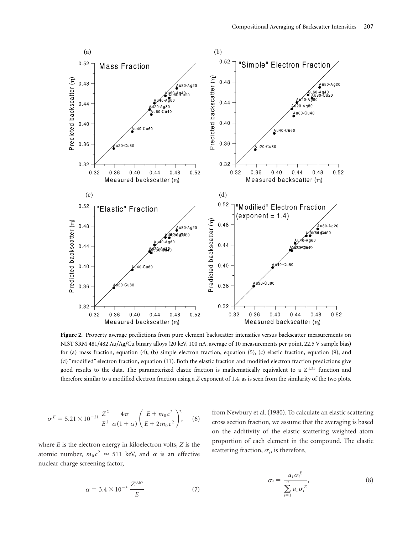

Figure 2. Property average predictions from pure element backscatter intensities versus backscatter measurements on NIST SRM 481/482 Au/Ag/Cu binary alloys (20 keV, 100 nA, average of 10 measurements per point, 22.5 V sample bias) for  $(a)$  mass fraction, equation  $(4)$ ,  $(b)$  simple electron fraction, equation  $(5)$ ,  $(c)$  elastic fraction, equation  $(9)$ , and (d) "modified" electron fraction, equation (11). Both the elastic fraction and modified electron fraction predictions give good results to the data. The parameterized elastic fraction is mathematically equivalent to a *Z*1.35 function and therefore similar to a modified electron fraction using a *Z* exponent of 1.4, as is seen from the similarity of the two plots.

$$
\sigma^{E} = 5.21 \times 10^{-21} \frac{Z^{2}}{E^{2}} \frac{4\pi}{\alpha (1+\alpha)} \left( \frac{E + m_{0} c^{2}}{E + 2m_{0} c^{2}} \right)^{2}, \quad (6)
$$

where *E* is the electron energy in kiloelectron volts, *Z* is the atomic number,  $m_0 c^2 \approx 511$  keV, and  $\alpha$  is an effective nuclear charge screening factor,

$$
\alpha = 3.4 \times 10^{-3} \frac{Z^{0.67}}{E}
$$
 (7)

from Newbury et al. (1980). To calculate an elastic scattering cross section fraction, we assume that the averaging is based on the additivity of the elastic scattering weighted atom proportion of each element in the compound. The elastic scattering fraction,  $\sigma_i$ , is therefore,

$$
\sigma_i = \frac{a_i \sigma_i^E}{\sum_{i=1}^n a_i \sigma_i^E},
$$
\n(8)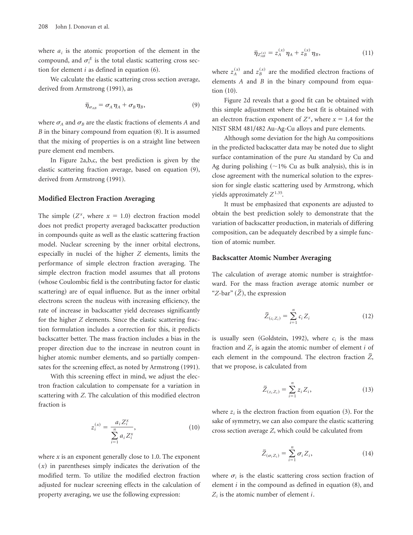where  $a_i$  is the atomic proportion of the element in the compound, and  $\sigma_i^E$  is the total elastic scattering cross section for element  $i$  as defined in equation  $(6)$ .

We calculate the elastic scattering cross section average, derived from Armstrong (1991), as

$$
\bar{\eta}_{\sigma_{AB}} = \sigma_A \eta_A + \sigma_B \eta_B, \qquad (9)
$$

where  $\sigma_A$  and  $\sigma_B$  are the elastic fractions of elements *A* and  $B$  in the binary compound from equation  $(8)$ . It is assumed that the mixing of properties is on a straight line between pure element end members.

In Figure 2a,b,c, the best prediction is given by the elastic scattering fraction average, based on equation  $(9)$ , derived from Armstrong (1991).

### **Modified Electron Fraction Averaging**

The simple  $(Z^x$ , where  $x = 1.0$ ) electron fraction model does not predict property averaged backscatter production in compounds quite as well as the elastic scattering fraction model. Nuclear screening by the inner orbital electrons, especially in nuclei of the higher *Z* elements, limits the performance of simple electron fraction averaging. The simple electron fraction model assumes that all protons (whose Coulombic field is the contributing factor for elastic scattering) are of equal influence. But as the inner orbital electrons screen the nucleus with increasing efficiency, the rate of increase in backscatter yield decreases significantly for the higher *Z* elements. Since the elastic scattering fraction formulation includes a correction for this, it predicts backscatter better. The mass fraction includes a bias in the proper direction due to the increase in neutron count in higher atomic number elements, and so partially compensates for the screening effect, as noted by Armstrong (1991).

With this screening effect in mind, we adjust the electron fraction calculation to compensate for a variation in scattering with *Z*. The calculation of this modified electron fraction is

$$
z_i^{(x)} = \frac{a_i Z_i^x}{\sum_{i=1}^n a_i Z_i^x},\tag{10}
$$

where *x* is an exponent generally close to 1.0. The exponent  $(x)$  in parentheses simply indicates the derivation of the modified term. To utilize the modified electron fraction adjusted for nuclear screening effects in the calculation of property averaging, we use the following expression:

$$
\bar{\eta}_{Z_{AB}}^{(x)} = z_A^{(x)} \eta_A + z_B^{(x)} \eta_B, \qquad (11)
$$

where  $z_A^{(x)}$  and  $z_B^{(x)}$  are the modified electron fractions of elements *A* and *B* in the binary compound from equation  $(10)$ .

Figure 2d reveals that a good fit can be obtained with this simple adjustment where the best fit is obtained with an electron fraction exponent of  $Z^x$ , where  $x = 1.4$  for the NIST SRM 481/482 Au-Ag-Cu alloys and pure elements.

Although some deviation for the high Au compositions in the predicted backscatter data may be noted due to slight surface contamination of the pure Au standard by Cu and Ag during polishing  $(\sim 1\%$  Cu as bulk analysis), this is in close agreement with the numerical solution to the expression for single elastic scattering used by Armstrong, which yields approximately  $Z^{1.35}$ .

It must be emphasized that exponents are adjusted to obtain the best prediction solely to demonstrate that the variation of backscatter production, in materials of differing composition, can be adequately described by a simple function of atomic number.

### **Backscatter Atomic Number Averaging**

The calculation of average atomic number is straightforward. For the mass fraction average atomic number or " $Z$ -bar"  $(\bar{Z})$ , the expression

$$
\bar{Z}_{(c_i Z_i)} = \sum_{i=1}^{n} c_i Z_i
$$
 (12)

is usually seen (Goldstein, 1992), where  $c_i$  is the mass fraction and  $Z_i$  is again the atomic number of element  $i$  of each element in the compound. The electron fraction  $\overline{Z}$ , that we propose, is calculated from

$$
\bar{Z}_{(z_i Z_i)} = \sum_{i=1}^{n} z_i Z_i,
$$
\n(13)

where  $z_i$  is the electron fraction from equation  $(3)$ . For the sake of symmetry, we can also compare the elastic scattering cross section average *Z*, which could be calculated from

$$
\bar{Z}_{(\sigma_i Z_i)} = \sum_{i=1}^n \sigma_i Z_i, \qquad (14)
$$

where  $\sigma_i$  is the elastic scattering cross section fraction of element  $i$  in the compound as defined in equation  $(8)$ , and *Zi* is the atomic number of element *i*.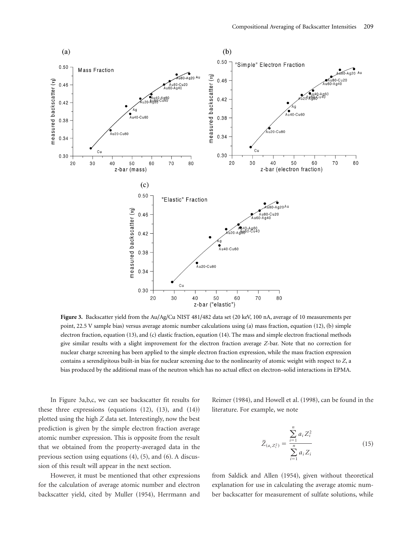

**Figure 3.** Backscatter yield from the Au/Ag/Cu NIST 481/482 data set (20 keV, 100 nA, average of 10 measurements per point, 22.5 V sample bias) versus average atomic number calculations using  $(a)$  mass fraction, equation  $(12)$ ,  $(b)$  simple electron fraction, equation (13), and (c) elastic fraction, equation (14). The mass and simple electron fractional methods give similar results with a slight improvement for the electron fraction average *Z*-bar. Note that no correction for nuclear charge screening has been applied to the simple electron fraction expression, while the mass fraction expression contains a serendipitous built-in bias for nuclear screening due to the nonlinearity of atomic weight with respect to *Z*, a bias produced by the additional mass of the neutron which has no actual effect on electron–solid interactions in EPMA.

In Figure 3a,b,c, we can see backscatter fit results for these three expressions (equations  $(12)$ ,  $(13)$ , and  $(14)$ ) plotted using the high *Z* data set. Interestingly, now the best prediction is given by the simple electron fraction average atomic number expression. This is opposite from the result that we obtained from the property-averaged data in the previous section using equations  $(4)$ ,  $(5)$ , and  $(6)$ . A discussion of this result will appear in the next section.

However, it must be mentioned that other expressions for the calculation of average atomic number and electron backscatter yield, cited by Muller (1954), Herrmann and

Reimer (1984), and Howell et al. (1998), can be found in the literature. For example, we note

$$
\bar{Z}_{(a_i Z_i^2)} = \frac{\sum_{i=1}^n a_i Z_i^2}{\sum_{i=1}^n a_i Z_i}
$$
(15)

from Saldick and Allen (1954), given without theoretical explanation for use in calculating the average atomic number backscatter for measurement of sulfate solutions, while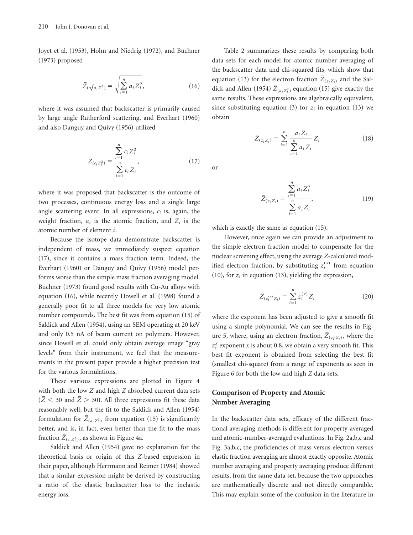Joyet et al. (1953), Hohn and Niedrig (1972), and Büchner  $(1973)$  proposed

$$
\bar{Z}(\sqrt{a_i z_i^2}) = \sqrt{\sum_{i=1}^n a_i Z_i^2},\tag{16}
$$

where it was assumed that backscatter is primarily caused by large angle Rutherford scattering, and Everhart (1960) and also Danguy and Quivy (1956) utilized

$$
\bar{Z}_{(c_i Z_i^2)} = \frac{\sum_{i=1}^n c_i Z_i^2}{\sum_{i=1}^n c_i Z_i},
$$
\n(17)

where it was proposed that backscatter is the outcome of two processes, continuous energy loss and a single large angle scattering event. In all expressions, *ci* is, again, the weight fraction,  $a_i$  is the atomic fraction, and  $Z_i$  is the atomic number of element *i*.

Because the isotope data demonstrate backscatter is independent of mass, we immediately suspect equation  $(17)$ , since it contains a mass fraction term. Indeed, the Everhart (1960) or Danguy and Quivy (1956) model performs worse than the simple mass fraction averaging model. Buchner (1973) found good results with Cu-Au alloys with equation (16), while recently Howell et al. (1998) found a generally poor fit to all three models for very low atomic number compounds. The best fit was from equation  $(15)$  of Saldick and Allen (1954), using an SEM operating at 20 keV and only 0.5 nA of beam current on polymers. However, since Howell et al. could only obtain average image "gray levels" from their instrument, we feel that the measurements in the present paper provide a higher precision test for the various formulations.

These various expressions are plotted in Figure 4 with both the low *Z* and high *Z* absorbed current data sets  $({\bar{Z}} < 30$  and  ${\bar{Z}} > 30$ ). All three expressions fit these data reasonably well, but the fit to the Saldick and Allen (1954) formulation for  $\overline{Z}_{(a_i Z_i^2)}$  from equation (15) is significantly better, and is, in fact, even better than the fit to the mass fraction  $\overline{Z}_{(c_i Z_i^2)}$ , as shown in Figure 4a.

Saldick and Allen (1954) gave no explanation for the theoretical basis or origin of this *Z*-based expression in their paper, although Herrmann and Reimer (1984) showed that a similar expression might be derived by constructing a ratio of the elastic backscatter loss to the inelastic energy loss.

Table 2 summarizes these results by comparing both data sets for each model for atomic number averaging of the backscatter data and chi-squared fits, which show that equation (13) for the electron fraction  $\overline{Z}_{(z_1, z_2)}$  and the Saldick and Allen (1954)  $\bar{Z}_{(a_i Z_i^2)}$  equation (15) give exactly the same results. These expressions are algebraically equivalent, since substituting equation  $(3)$  for  $z_i$  in equation  $(13)$  we obtain

$$
\bar{Z}_{(z_i Z_i)} = \sum_{i=1}^{n} \frac{a_i Z_i}{\sum_{i=1}^{n} a_i Z_i} Z_i
$$
 (18)

$$
\bar{Z}_{(z_i Z_i)} = \frac{\sum_{i=1}^n a_i Z_i^2}{\sum_{i=1}^n a_i Z_i},
$$
\n(19)

which is exactly the same as equation  $(15)$ .

or

However, once again we can provide an adjustment to the simple electron fraction model to compensate for the nuclear screening effect, using the average *Z*-calculated modified electron fraction, by substituting  $z_i^{(x)}$  from equation  $(10)$ , for  $z_i$  in equation  $(13)$ , yielding the expression,

$$
\bar{Z}_{(z_i^{(x)}Z_i)} = \sum_{i=1}^n z_i^{(x)} Z_i
$$
 (20)

where the exponent has been adjusted to give a smooth fit using a simple polynomial. We can see the results in Figure 5, where, using an electron fraction,  $Z_{(z_i^x Z_i)}$ , where the *zi <sup>x</sup>* exponent *x* is about 0.8, we obtain a very smooth fit. This best fit exponent is obtained from selecting the best fit (smallest chi-square) from a range of exponents as seen in Figure 6 for both the low and high *Z* data sets.

# **Comparison of Property and Atomic Number Averaging**

In the backscatter data sets, efficacy of the different fractional averaging methods is different for property-averaged and atomic-number-averaged evaluations. In Fig. 2a,b,c and Fig. 3a,b,c, the proficiencies of mass versus electron versus elastic fraction averaging are almost exactly opposite. Atomic number averaging and property averaging produce different results, from the same data set, because the two approaches are mathematically discrete and not directly comparable. This may explain some of the confusion in the literature in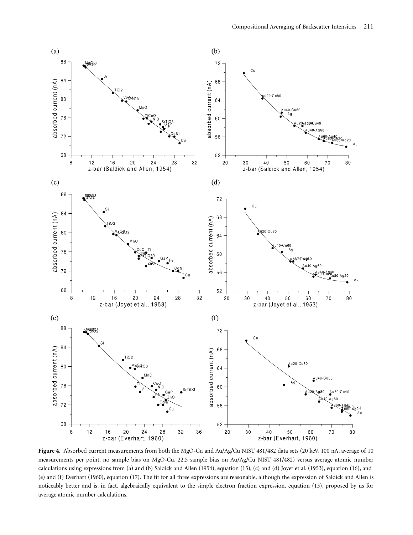

Figure 4. Absorbed current measurements from both the MgO-Cu and Au/Ag/Cu NIST 481/482 data sets (20 keV, 100 nA, average of 10 measurements per point, no sample bias on MgO-Cu, 22.5 sample bias on Au/Ag/Cu NIST 481/482) versus average atomic number calculations using expressions from  $(a)$  and  $(b)$  Saldick and Allen  $(1954)$ , equation  $(15)$ ,  $(c)$  and  $(d)$  Joyet et al.  $(1953)$ , equation  $(16)$ , and  $(e)$  and  $(f)$  Everhart  $(1960)$ , equation  $(17)$ . The fit for all three expressions are reasonable, although the expression of Saldick and Allen is noticeably better and is, in fact, algebraically equivalent to the simple electron fraction expression, equation (13), proposed by us for average atomic number calculations.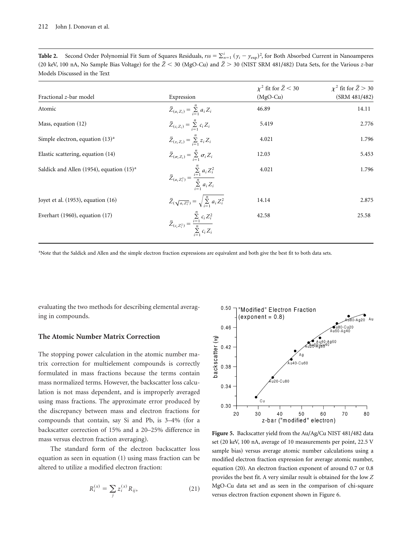| Table 2. Second Order Polynomial Fit Sum of Squares Residuals, $rs = \sum_{n=1}^{1} (y_i - y_{exp})^2$ , for Both Absorbed Current in Nanoamperes |  |
|---------------------------------------------------------------------------------------------------------------------------------------------------|--|
| (20 keV, 100 nA, No Sample Bias Voltage) for the $\bar{Z}$ < 30 (MgO-Cu) and $\bar{Z}$ > 30 (NIST SRM 481/482) Data Sets, for the Various z-bar   |  |
| Models Discussed in the Text                                                                                                                      |  |

| Fractional z-bar model                      | Expression                                                                                  | $\chi^2$ fit for $\bar{Z}$ < 30<br>$(MgO-Cu)$ | $\chi^2$ fit for $\bar{Z} > 30$<br>(SRM 481/482) |
|---------------------------------------------|---------------------------------------------------------------------------------------------|-----------------------------------------------|--------------------------------------------------|
| Atomic                                      | $\bar{Z}_{(a_i Z_i)} = \sum_{i=1}^n a_i Z_i$                                                | 46.89                                         | 14.11                                            |
| Mass, equation $(12)$                       | $\bar{Z}_{(c_i Z_i)} = \sum_{i=1}^n c_i Z_i$                                                | 5.419                                         | 2.776                                            |
| Simple electron, equation $(13)^a$          | $\bar{Z}_{(z_i Z_i)} = \sum_{i=1}^n z_i Z_i$                                                | 4.021                                         | 1.796                                            |
| Elastic scattering, equation (14)           | $\bar{Z}_{(\sigma_i Z_i)} = \sum_{i=1}^n \sigma_i Z_i$                                      | 12.03                                         | 5.453                                            |
| Saldick and Allen (1954), equation $(15)^a$ | $\bar{Z}_{(a_i Z_i^2)} = \frac{\sum\limits_{i=1}^n a_i Z_i^2}{\sum\limits_{i=1}^n a_i Z_i}$ | 4.021                                         | 1.796                                            |
| Joyet et al. $(1953)$ , equation $(16)$     | $\bar{Z}(\sqrt{a_i Z_i^2}) = \sqrt{\sum_{i=1}^n a_i Z_i^2}$                                 | 14.14                                         | 2.875                                            |
| Everhart $(1960)$ , equation $(17)$         | $\bar{Z}_{(c_i Z_i^2)} = \frac{\sum\limits_{i=1}^n c_i Z_i^2}{\sum\limits_{i=1}^n c_i Z_i}$ | 42.58                                         | 25.58                                            |

a Note that the Saldick and Allen and the simple electron fraction expressions are equivalent and both give the best fit to both data sets.

evaluating the two methods for describing elemental averaging in compounds.

### **The Atomic Number Matrix Correction**

The stopping power calculation in the atomic number matrix correction for multielement compounds is correctly formulated in mass fractions because the terms contain mass normalized terms. However, the backscatter loss calculation is not mass dependent, and is improperly averaged using mass fractions. The approximate error produced by the discrepancy between mass and electron fractions for compounds that contain, say Si and Pb, is  $3-4%$  (for a backscatter correction of 15% and a 20–25% difference in mass versus electron fraction averaging).

The standard form of the electron backscatter loss equation as seen in equation  $(1)$  using mass fraction can be altered to utilize a modified electron fraction:

$$
R_i^{(x)} = \sum_j z_i^{(x)} R_{ij}, \tag{21}
$$



**Figure 5.** Backscatter yield from the Au/Ag/Cu NIST 481/482 data set (20 keV, 100 nA, average of 10 measurements per point, 22.5 V sample bias) versus average atomic number calculations using a modified electron fraction expression for average atomic number, equation  $(20)$ . An electron fraction exponent of around 0.7 or 0.8 provides the best fit. A very similar result is obtained for the low *Z* MgO-Cu data set and as seen in the comparison of chi-square versus electron fraction exponent shown in Figure 6.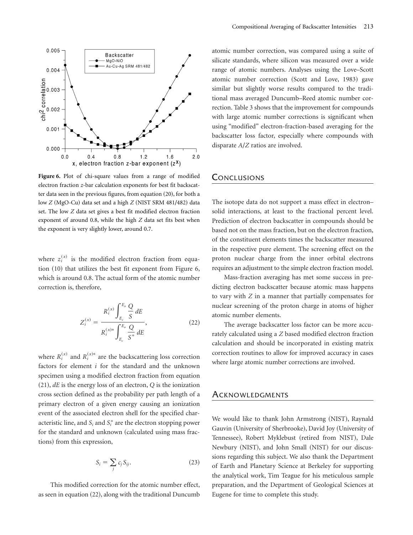

**Figure 6.** Plot of chi-square values from a range of modified electron fraction *z*-bar calculation exponents for best fit backscatter data seen in the previous figures, from equation  $(20)$ , for both a low *Z* (MgO-Cu) data set and a high *Z* (NIST SRM 481/482) data set. The low *Z* data set gives a best fit modified electron fraction exponent of around 0.8, while the high *Z* data set fits best when the exponent is very slightly lower, around 0.7.

where  $z_i^{(x)}$  is the modified electron fraction from equation  $(10)$  that utilizes the best fit exponent from Figure 6, which is around 0.8. The actual form of the atomic number correction is, therefore,

$$
Z_i^{(x)} = \frac{R_i^{(x)} \int_{E_c}^{E_o} \frac{Q}{S} dE}{R_i^{(x)*} \int_{E_c}^{E_o} \frac{Q}{S^*} dE},
$$
(22)

where  $R_i^{(x)}$  and  $R_i^{(x)*}$  are the backscattering loss correction factors for element *i* for the standard and the unknown specimen using a modified electron fraction from equation  $(21)$ , *dE* is the energy loss of an electron, *Q* is the ionization cross section defined as the probability per path length of a primary electron of a given energy causing an ionization event of the associated electron shell for the specified characteristic line, and  $S_i$  and  $S_i^*$  are the electron stopping power for the standard and unknown (calculated using mass fractions) from this expression,

$$
S_i = \sum_j c_j S_{ij}.
$$
 (23)

This modified correction for the atomic number effect, as seen in equation  $(22)$ , along with the traditional Duncumb atomic number correction, was compared using a suite of silicate standards, where silicon was measured over a wide range of atomic numbers. Analyses using the Love–Scott atomic number correction (Scott and Love, 1983) gave similar but slightly worse results compared to the traditional mass averaged Duncumb–Reed atomic number correction. Table 3 shows that the improvement for compounds with large atomic number corrections is significant when using "modified" electron-fraction-based averaging for the backscatter loss factor, especially where compounds with disparate *A*/*Z* ratios are involved.

## **CONCLUSIONS**

The isotope data do not support a mass effect in electron– solid interactions, at least to the fractional percent level. Prediction of electron backscatter in compounds should be based not on the mass fraction, but on the electron fraction, of the constituent elements times the backscatter measured in the respective pure element. The screening effect on the proton nuclear charge from the inner orbital electrons requires an adjustment to the simple electron fraction model.

Mass-fraction averaging has met some success in predicting electron backscatter because atomic mass happens to vary with *Z* in a manner that partially compensates for nuclear screening of the proton charge in atoms of higher atomic number elements.

The average backscatter loss factor can be more accurately calculated using a *Z* based modified electron fraction calculation and should be incorporated in existing matrix correction routines to allow for improved accuracy in cases where large atomic number corrections are involved.

#### **ACKNOWLEDGMENTS**

We would like to thank John Armstrong (NIST), Raynald Gauvin (University of Sherbrooke), David Joy (University of Tennessee), Robert Myklebust (retired from NIST), Dale Newbury (NIST), and John Small (NIST) for our discussions regarding this subject. We also thank the Department of Earth and Planetary Science at Berkeley for supporting the analytical work, Tim Teague for his meticulous sample preparation, and the Department of Geological Sciences at Eugene for time to complete this study.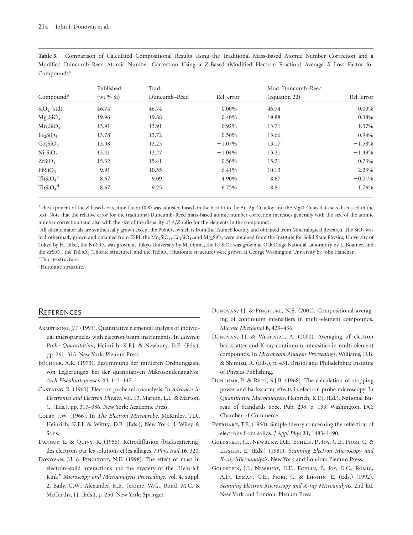|                                  | Published     | Trad.        |            | Mod. Duncumb-Reed |            |
|----------------------------------|---------------|--------------|------------|-------------------|------------|
| Compoundb                        | $(wt. \% Si)$ | Duncumb-Reed | Rel. error | (equation 22)     | Rel. Error |
| $SiO2$ (std)                     | 46.74         | 46.74        | $0.00\%$   | 46.74             | $0.00\%$   |
| $Mg_2SiO_4$                      | 19.96         | 19.88        | $-0.40%$   | 19.88             | $-0.38\%$  |
| $Mn_2SiO_4$                      | 13.91         | 13.91        | $-0.92%$   | 13.71             | $-1.37\%$  |
| Fe <sub>2</sub> SiO <sub>4</sub> | 13.78         | 13.72        | $-0.50%$   | 13.66             | $-0.94%$   |
| Co <sub>2</sub> SiO <sub>4</sub> | 13.38         | 13.23        | $-1.07\%$  | 13.17             | $-1.58%$   |
| Ni <sub>2</sub> SiO <sub>4</sub> | 13.41         | 13.27        | $-1.04%$   | 13.21             | $-1.49%$   |
| ZrSiO <sub>4</sub>               | 15.32         | 15.41        | 0.56%      | 15.21             | $-0.73%$   |
| PbSiO <sub>3</sub>               | 9.91          | 10.55        | 6.41%      | 10.13             | 2.23%      |
| $ThSiO4$ <sup>c</sup>            | 8.67          | 9.09         | 4.90%      | 8.67              | $-0.01%$   |
| ThSiO <sub>4</sub> <sup>d</sup>  | 8.67          | 9.25         | 6.75%      | 8.81              | 1.76%      |

**Table 3.** Comparison of Calculated Compositional Results Using the Traditional Mass-Based Atomic Number Correction and a Modified Duncumb–Reed Atomic Number Correction Using a Z-Based (Modified Electron Fraction) Average *R* Loss Factor for Compounds<sup>a</sup>

<sup>a</sup>The exponent of the *Z*-based correction factor (0.8) was adjusted based on the best fit to the Au-Ag-Cu alloy and the MgO-Cu as data sets discussed in the text. Note that the relative error for the traditional Duncumb–Reed mass-based atomic number correction increases generally with the size of the atomic number correction (and also with the size of the disparity of *A*/*Z* ratio for the elements in the compound).

 $^{\rm b}$ All silicate materials are synthetically grown except the PbSiO<sub>3</sub>, which is from the Tsumeb locality and obtained from Mineralogical Research. The SiO<sub>2</sub> was hydrothermally grown and obtained from ESPI, the Mn<sub>2</sub>SiO<sub>4</sub>, Co<sub>2</sub>SiO<sub>4</sub>, and Mg<sub>2</sub>SiO<sub>4</sub> were obtained from the Institute for Solid State Physics, University of Tokyo by H. Takei, the Ni2SiO<sub>4</sub> was grown at Tokyo University by M. Ojima, the Fe<sub>2</sub>SiO<sub>4</sub> was grown at Oak Ridge National Laboratory by L. Boatner, and the ZrSiO<sub>4</sub>, the ThSiO<sub>4</sub> (Thorite structure), and the ThSiO<sub>4</sub> (Huttonite structure) were grown at George Washington University by John Hanchar. c Thorite structure.

<sup>d</sup>Huttonite structure.

### **REFERENCES**

- ARMSTRONG, J.T. (1991). Quantitative elemental analysis of individual microparticles with electron beam instruments. In *Electron* Probe Quantitation, Heinrich, K.F.J. & Newbury, D.E. (Eds.), pp. 261–315. New York: Plenum Press.
- Büchner, A.R. (1973). Bestimmung der mittleren Ordnungszahl von Legierungen bei der quantitativen Mikrosondenanalyse. *Arch Eisenhüttenwesen* **44**, 143–147.
- Castaing, R. ~1960!. Electron probe microanalysis. In *Advances in Electronics and Electron Physics*, vol. 13, Marton, L.L. & Marton, C. (Eds.), pp. 317-386. New York: Academic Press.
- COLBY, J.W. (1966). In *The Electron Microprobe*, McKinley, T.D., Heinrich, K.F.J. & Wittry, D.B. (Eds.), New York: J. Wiley & Sons.
- DANGUY, L. & QUIVY, R. (1956). Rétrodiffusion (backscattering) des électrons par les solutions et les alliages. *J Phys Rad* **16**, 320.
- DONOVAN, J.J. & PINGITORE, N.E. (1998). The effect of mass in electron–solid interactions and the mystery of the "Heinrich Kink," *Microscopy and Microanalysis Proceedings*, vol. 4, suppl. 2, Baily, G.W., Alexander, K.B., Jerome, W.G., Bond, M.G. & McCarthy, J.J. (Eds.), p. 250. New York: Springer.
- DONOVAN, J.J. & PINGITORE, N.E. (2002). Compositional averaging of continuum intensifiers in multi-element compounds. *Microsc Microanal* **8**, 429–436.
- DONOVAN, J.J. & WESTPHAL, A. (2000). Averaging of electron backscatter and X-ray continuum intensities in multi-element compounds. In *Microbeam Analysis Proceedings*, Williams, D.B. & Shimizu, R. (Eds.), p. 431. Bristol and Philadelphia: Institute of Physics Publishing.
- DUNCUMB, P. & REED, S.J.B. (1968). The calculation of stopping power and backscatter effects in electron probe microscopy. In Quantitative Microanalysis, Heinrich, K.F.J. (Ed.). National Bureau of Standards Spec. Pub. 298, p. 133. Washington, DC: Chamber of Commerce.
- EVERHART, T.E. (1960). Simple theory concerning the reflection of electrons from solids. *J Appl Phys* **31**, 1483–1490.
- Goldstein, J.I., Newbury, D.E., Echlin, P., Joy, C.E., Fiori, C. & LIFSHIN, E. (Eds.) (1981). *Scanning Electron Microscopy and X-ray Microanalysis*. New York and London: Plenum Press.
- Goldstein, J.I., Newbury, D.E., Echlin, P., Joy, D.C., Romig, A.D., LYMAN, C.E., FIORI, C. & LIFSHIN, E. (Eds.) (1992). *Scanning Electron Microscopy and X-ray Microanalysis*. 2nd Ed. New York and London: Plenum Press.